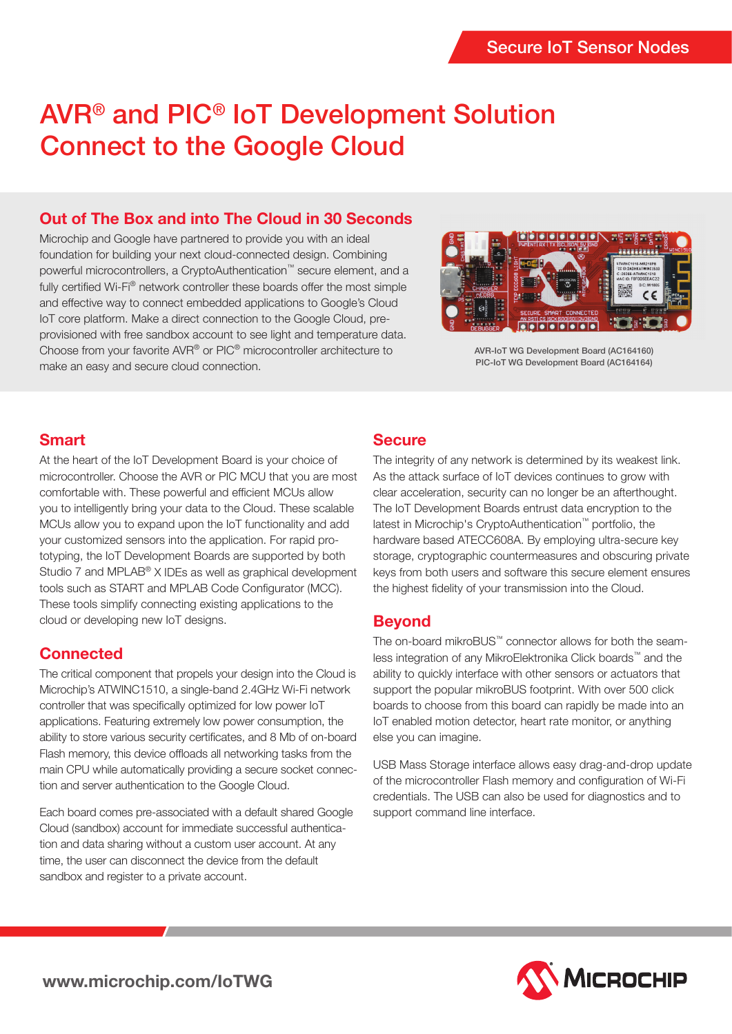# AVR® and PIC® IoT Development Solution Connect to the Google Cloud

## **Out of The Box and into The Cloud in 30 Seconds**

Microchip and Google have partnered to provide you with an ideal foundation for building your next cloud-connected design. Combining powerful microcontrollers, a CryptoAuthentication™ secure element, and a fully certified Wi-Fi<sup>®</sup> network controller these boards offer the most simple and effective way to connect embedded applications to Google's Cloud IoT core platform. Make a direct connection to the Google Cloud, preprovisioned with free sandbox account to see light and temperature data. Choose from your favorite AVR® or PIC® microcontroller architecture to make an easy and secure cloud connection.



AVR-IoT WG Development Board (AC164160) PIC-IoT WG Development Board (AC164164)

#### **Smart**

At the heart of the IoT Development Board is your choice of microcontroller. Choose the AVR or PIC MCU that you are most comfortable with. These powerful and efficient MCUs allow you to intelligently bring your data to the Cloud. These scalable MCUs allow you to expand upon the IoT functionality and add your customized sensors into the application. For rapid prototyping, the IoT Development Boards are supported by both Studio 7 and MPLAB® X IDEs as well as graphical development tools such as START and MPLAB Code Configurator (MCC). These tools simplify connecting existing applications to the cloud or developing new IoT designs.

## **Connected**

The critical component that propels your design into the Cloud is Microchip's ATWINC1510, a single-band 2.4GHz Wi-Fi network controller that was specifically optimized for low power IoT applications. Featuring extremely low power consumption, the ability to store various security certificates, and 8 Mb of on-board Flash memory, this device offloads all networking tasks from the main CPU while automatically providing a secure socket connection and server authentication to the Google Cloud.

Each board comes pre-associated with a default shared Google Cloud (sandbox) account for immediate successful authentication and data sharing without a custom user account. At any time, the user can disconnect the device from the default sandbox and register to a private account.

# **Secure**

The integrity of any network is determined by its weakest link. As the attack surface of IoT devices continues to grow with clear acceleration, security can no longer be an afterthought. The IoT Development Boards entrust data encryption to the latest in Microchip's CryptoAuthentication™ portfolio, the hardware based ATECC608A. By employing ultra-secure key storage, cryptographic countermeasures and obscuring private keys from both users and software this secure element ensures the highest fidelity of your transmission into the Cloud.

## **Beyond**

The on-board mikroBUS™ connector allows for both the seamless integration of any MikroElektronika Click boards™ and the ability to quickly interface with other sensors or actuators that support the popular mikroBUS footprint. With over 500 click boards to choose from this board can rapidly be made into an IoT enabled motion detector, heart rate monitor, or anything else you can imagine.

USB Mass Storage interface allows easy drag-and-drop update of the microcontroller Flash memory and configuration of Wi-Fi credentials. The USB can also be used for diagnostics and to support command line interface.